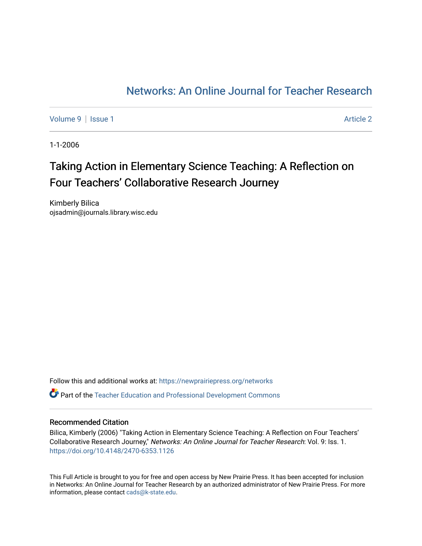# [Networks: An Online Journal for Teacher Research](https://newprairiepress.org/networks)

[Volume 9](https://newprairiepress.org/networks/vol9) | [Issue 1](https://newprairiepress.org/networks/vol9/iss1) Article 2

1-1-2006

# Taking Action in Elementary Science Teaching: A Reflection on Four Teachers' Collaborative Research Journey

Kimberly Bilica ojsadmin@journals.library.wisc.edu

Follow this and additional works at: [https://newprairiepress.org/networks](https://newprairiepress.org/networks?utm_source=newprairiepress.org%2Fnetworks%2Fvol9%2Fiss1%2F2&utm_medium=PDF&utm_campaign=PDFCoverPages) Part of the [Teacher Education and Professional Development Commons](http://network.bepress.com/hgg/discipline/803?utm_source=newprairiepress.org%2Fnetworks%2Fvol9%2Fiss1%2F2&utm_medium=PDF&utm_campaign=PDFCoverPages) 

#### Recommended Citation

Bilica, Kimberly (2006) "Taking Action in Elementary Science Teaching: A Reflection on Four Teachers' Collaborative Research Journey," Networks: An Online Journal for Teacher Research: Vol. 9: Iss. 1. <https://doi.org/10.4148/2470-6353.1126>

This Full Article is brought to you for free and open access by New Prairie Press. It has been accepted for inclusion in Networks: An Online Journal for Teacher Research by an authorized administrator of New Prairie Press. For more information, please contact [cads@k-state.edu](mailto:cads@k-state.edu).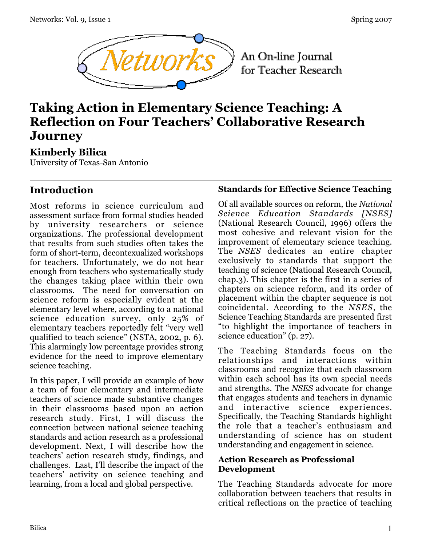

An On-line Journal for Teacher Research

# **Taking Action in Elementary Science Teaching: A Reflection on Four Teachers' Collaborative Research Journey**

# **Kimberly Bilica**

University of Texas-San Antonio

# **Introduction**

Most reforms in science curriculum and assessment surface from formal studies headed by university researchers or science organizations. The professional development that results from such studies often takes the form of short-term, decontexualized workshops for teachers. Unfortunately, we do not hear enough from teachers who systematically study the changes taking place within their own classrooms. The need for conversation on science reform is especially evident at the elementary level where, according to a national science education survey, only 25% of elementary teachers reportedly felt "very well qualified to teach science" (NSTA, 2002, p. 6). This alarmingly low percentage provides strong evidence for the need to improve elementary science teaching.

In this paper, I will provide an example of how a team of four elementary and intermediate teachers of science made substantive changes in their classrooms based upon an action research study. First, I will discuss the connection between national science teaching standards and action research as a professional development. Next, I will describe how the teachers' action research study, findings, and challenges. Last, I'll describe the impact of the teachers' activity on science teaching and learning, from a local and global perspective.

### **Standards for Effective Science Teaching**

Of all available sources on reform, the *National Science Education Standards [NSES]* (National Research Council, 1996) offers the most cohesive and relevant vision for the improvement of elementary science teaching. The *NSES* dedicates an entire chapter exclusively to standards that support the teaching of science (National Research Council, chap.3). This chapter is the first in a series of chapters on science reform, and its order of placement within the chapter sequence is not coincidental. According to the *NSES*, the Science Teaching Standards are presented first "to highlight the importance of teachers in science education" (p. 27).

The Teaching Standards focus on the relationships and interactions within classrooms and recognize that each classroom within each school has its own special needs and strengths. The *NSES* advocate for change that engages students and teachers in dynamic and interactive science experiences. Specifically, the Teaching Standards highlight the role that a teacher's enthusiasm and understanding of science has on student understanding and engagement in science.

### **Action Research as Professional Development**

The Teaching Standards advocate for more collaboration between teachers that results in critical reflections on the practice of teaching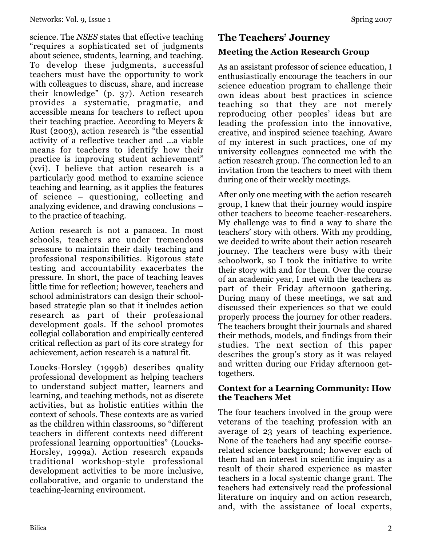science. The *NSES* states that effective teaching "requires a sophisticated set of judgments about science, students, learning, and teaching. To develop these judgments, successful teachers must have the opportunity to work with colleagues to discuss, share, and increase their knowledge" (p. 37). Action research provides a systematic, pragmatic, and accessible means for teachers to reflect upon their teaching practice. According to Meyers & Rust (2003), action research is "the essential activity of a reflective teacher and …a viable means for teachers to identify how their practice is improving student achievement" (xvi). I believe that action research is a particularly good method to examine science teaching and learning, as it applies the features of science – questioning, collecting and analyzing evidence, and drawing conclusions – to the practice of teaching.

Action research is not a panacea. In most schools, teachers are under tremendous pressure to maintain their daily teaching and professional responsibilities. Rigorous state testing and accountability exacerbates the pressure. In short, the pace of teaching leaves little time for reflection; however, teachers and school administrators can design their schoolbased strategic plan so that it includes action research as part of their professional development goals. If the school promotes collegial collaboration and empirically centered critical reflection as part of its core strategy for achievement, action research is a natural fit.

Loucks-Horsley (1999b) describes quality professional development as helping teachers to understand subject matter, learners and learning, and teaching methods, not as discrete activities, but as holistic entities within the context of schools. These contexts are as varied as the children within classrooms, so "different teachers in different contexts need different professional learning opportunities" (Loucks-Horsley, 1999a). Action research expands traditional workshop-style professional development activities to be more inclusive, collaborative, and organic to understand the teaching-learning environment.

# **The Teachers' Journey**

# **Meeting the Action Research Group**

As an assistant professor of science education, I enthusiastically encourage the teachers in our science education program to challenge their own ideas about best practices in science teaching so that they are not merely reproducing other peoples' ideas but are leading the profession into the innovative, creative, and inspired science teaching. Aware of my interest in such practices, one of my university colleagues connected me with the action research group. The connection led to an invitation from the teachers to meet with them during one of their weekly meetings.

After only one meeting with the action research group, I knew that their journey would inspire other teachers to become teacher-researchers. My challenge was to find a way to share the teachers' story with others. With my prodding, we decided to write about their action research journey. The teachers were busy with their schoolwork, so I took the initiative to write their story with and for them. Over the course of an academic year, I met with the teachers as part of their Friday afternoon gathering. During many of these meetings, we sat and discussed their experiences so that we could properly process the journey for other readers. The teachers brought their journals and shared their methods, models, and findings from their studies. The next section of this paper describes the group's story as it was relayed and written during our Friday afternoon gettogethers.

### **Context for a Learning Community: How the Teachers Met**

The four teachers involved in the group were veterans of the teaching profession with an average of 23 years of teaching experience. None of the teachers had any specific courserelated science background; however each of them had an interest in scientific inquiry as a result of their shared experience as master teachers in a local systemic change grant. The teachers had extensively read the professional literature on inquiry and on action research, and, with the assistance of local experts,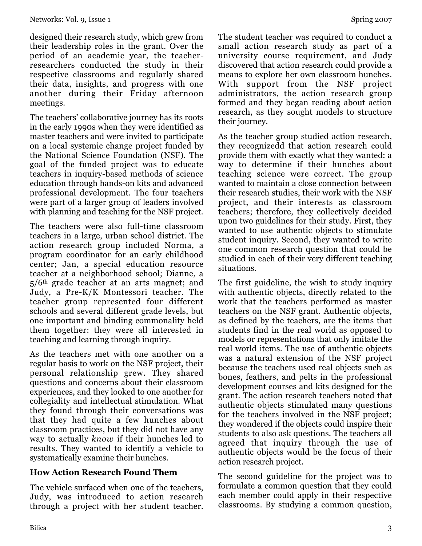designed their research study, which grew from their leadership roles in the grant. Over the period of an academic year, the teacherresearchers conducted the study in their respective classrooms and regularly shared their data, insights, and progress with one another during their Friday afternoon meetings.

The teachers' collaborative journey has its roots in the early 1990s when they were identified as master teachers and were invited to participate on a local systemic change project funded by the National Science Foundation (NSF). The goal of the funded project was to educate teachers in inquiry-based methods of science education through hands-on kits and advanced professional development. The four teachers were part of a larger group of leaders involved with planning and teaching for the NSF project.

The teachers were also full-time classroom teachers in a large, urban school district. The action research group included Norma, a program coordinator for an early childhood center; Jan, a special education resource teacher at a neighborhood school; Dianne, a 5/6th grade teacher at an arts magnet; and Judy, a Pre-K/K Montessori teacher. The teacher group represented four different schools and several different grade levels, but one important and binding commonality held them together: they were all interested in teaching and learning through inquiry.

As the teachers met with one another on a regular basis to work on the NSF project, their personal relationship grew. They shared questions and concerns about their classroom experiences, and they looked to one another for collegiality and intellectual stimulation. What they found through their conversations was that they had quite a few hunches about classroom practices, but they did not have any way to actually *know* if their hunches led to results. They wanted to identify a vehicle to systematically examine their hunches.

# **How Action Research Found Them**

The vehicle surfaced when one of the teachers, Judy, was introduced to action research through a project with her student teacher.

The student teacher was required to conduct a small action research study as part of a university course requirement, and Judy discovered that action research could provide a means to explore her own classroom hunches. With support from the NSF project administrators, the action research group formed and they began reading about action research, as they sought models to structure their journey.

As the teacher group studied action research, they recognizedd that action research could provide them with exactly what they wanted: a way to determine if their hunches about teaching science were correct. The group wanted to maintain a close connection between their research studies, their work with the NSF project, and their interests as classroom teachers; therefore, they collectively decided upon two guidelines for their study. First, they wanted to use authentic objects to stimulate student inquiry. Second, they wanted to write one common research question that could be studied in each of their very different teaching situations.

The first guideline, the wish to study inquiry with authentic objects, directly related to the work that the teachers performed as master teachers on the NSF grant. Authentic objects, as defined by the teachers, are the items that students find in the real world as opposed to models or representations that only imitate the real world items. The use of authentic objects was a natural extension of the NSF project because the teachers used real objects such as bones, feathers, and pelts in the professional development courses and kits designed for the grant. The action research teachers noted that authentic objects stimulated many questions for the teachers involved in the NSF project; they wondered if the objects could inspire their students to also ask questions. The teachers all agreed that inquiry through the use of authentic objects would be the focus of their action research project.

The second guideline for the project was to formulate a common question that they could each member could apply in their respective classrooms. By studying a common question,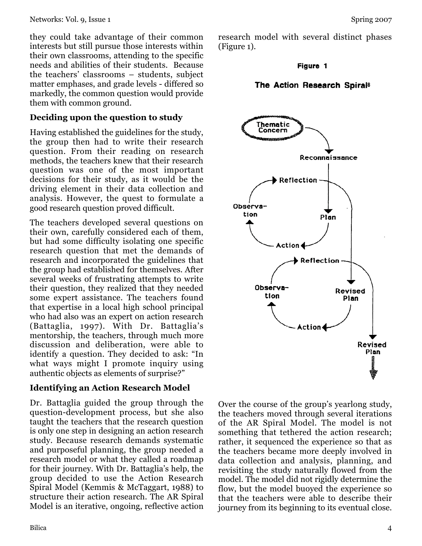they could take advantage of their common interests but still pursue those interests within their own classrooms, attending to the specific needs and abilities of their students. Because the teachers' classrooms – students, subject matter emphases, and grade levels - differed so markedly, the common question would provide them with common ground.

### **Deciding upon the question to study**

Having established the guidelines for the study, the group then had to write their research question. From their reading on research methods, the teachers knew that their research question was one of the most important decisions for their study, as it would be the driving element in their data collection and analysis. However, the quest to formulate a good research question proved difficult.

The teachers developed several questions on their own, carefully considered each of them, but had some difficulty isolating one specific research question that met the demands of research and incorporated the guidelines that the group had established for themselves. After several weeks of frustrating attempts to write their question, they realized that they needed some expert assistance. The teachers found that expertise in a local high school principal who had also was an expert on action research (Battaglia, 1997). With Dr. Battaglia's mentorship, the teachers, through much more discussion and deliberation, were able to identify a question. They decided to ask: "In what ways might I promote inquiry using authentic objects as elements of surprise?"

### **Identifying an Action Research Model**

Dr. Battaglia guided the group through the question-development process, but she also taught the teachers that the research question is only one step in designing an action research study. Because research demands systematic and purposeful planning, the group needed a research model or what they called a roadmap for their journey. With Dr. Battaglia's help, the group decided to use the Action Research Spiral Model (Kemmis & McTaggart, 1988) to structure their action research. The AR Spiral Model is an iterative, ongoing, reflective action research model with several distinct phases (Figure 1).

#### Figure 1

### The Action Research Spiral<sup>8</sup>



Over the course of the group's yearlong study, the teachers moved through several iterations of the AR Spiral Model. The model is not something that tethered the action research; rather, it sequenced the experience so that as the teachers became more deeply involved in data collection and analysis, planning, and revisiting the study naturally flowed from the model. The model did not rigidly determine the flow, but the model buoyed the experience so that the teachers were able to describe their journey from its beginning to its eventual close.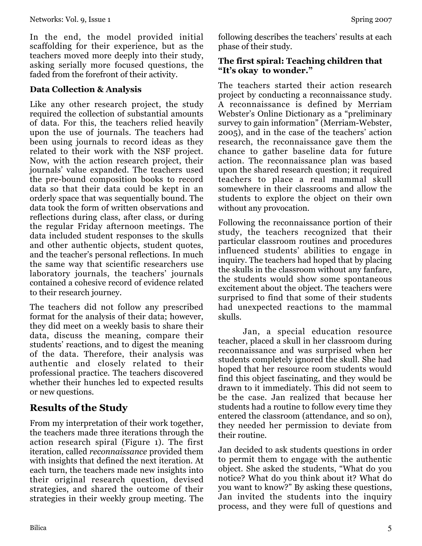In the end, the model provided initial scaffolding for their experience, but as the teachers moved more deeply into their study, asking serially more focused questions, the faded from the forefront of their activity.

### **Data Collection & Analysis**

Like any other research project, the study required the collection of substantial amounts of data. For this, the teachers relied heavily upon the use of journals. The teachers had been using journals to record ideas as they related to their work with the NSF project. Now, with the action research project, their journals' value expanded. The teachers used the pre-bound composition books to record data so that their data could be kept in an orderly space that was sequentially bound. The data took the form of written observations and reflections during class, after class, or during the regular Friday afternoon meetings. The data included student responses to the skulls and other authentic objects, student quotes, and the teacher's personal reflections. In much the same way that scientific researchers use laboratory journals, the teachers' journals contained a cohesive record of evidence related to their research journey.

The teachers did not follow any prescribed format for the analysis of their data; however, they did meet on a weekly basis to share their data, discuss the meaning, compare their students' reactions, and to digest the meaning of the data. Therefore, their analysis was authentic and closely related to their professional practice. The teachers discovered whether their hunches led to expected results or new questions.

# **Results of the Study**

From my interpretation of their work together, the teachers made three iterations through the action research spiral (Figure 1). The first iteration, called *reconnaissance* provided them with insights that defined the next iteration. At each turn, the teachers made new insights into their original research question, devised strategies, and shared the outcome of their strategies in their weekly group meeting. The

### **The first spiral: Teaching children that "It's okay to wonder."**

The teachers started their action research project by conducting a reconnaissance study. A reconnaissance is defined by Merriam Webster's Online Dictionary as a "preliminary survey to gain information" (Merriam-Webster, 2005), and in the case of the teachers' action research, the reconnaissance gave them the chance to gather baseline data for future action. The reconnaissance plan was based upon the shared research question; it required teachers to place a real mammal skull somewhere in their classrooms and allow the students to explore the object on their own without any provocation.

Following the reconnaissance portion of their study, the teachers recognized that their particular classroom routines and procedures influenced students' abilities to engage in inquiry. The teachers had hoped that by placing the skulls in the classroom without any fanfare, the students would show some spontaneous excitement about the object. The teachers were surprised to find that some of their students had unexpected reactions to the mammal skulls.

Jan, a special education resource teacher, placed a skull in her classroom during reconnaissance and was surprised when her students completely ignored the skull. She had hoped that her resource room students would find this object fascinating, and they would be drawn to it immediately. This did not seem to be the case. Jan realized that because her students had a routine to follow every time they entered the classroom (attendance, and so on), they needed her permission to deviate from their routine.

Jan decided to ask students questions in order to permit them to engage with the authentic object. She asked the students, "What do you notice? What do you think about it? What do you want to know?" By asking these questions, Jan invited the students into the inquiry process, and they were full of questions and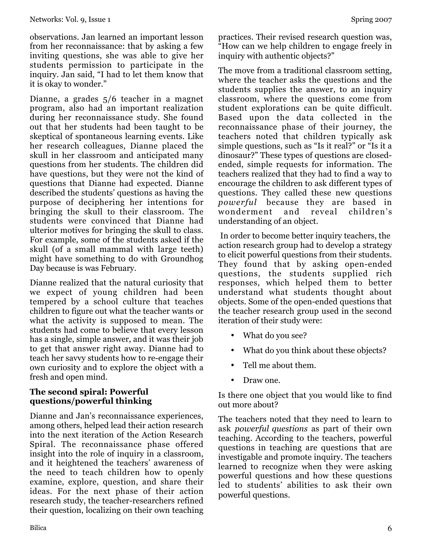observations. Jan learned an important lesson from her reconnaissance: that by asking a few inviting questions, she was able to give her students permission to participate in the inquiry. Jan said, "I had to let them know that it is okay to wonder."

Dianne, a grades 5/6 teacher in a magnet program, also had an important realization during her reconnaissance study. She found out that her students had been taught to be skeptical of spontaneous learning events. Like her research colleagues, Dianne placed the skull in her classroom and anticipated many questions from her students. The children did have questions, but they were not the kind of questions that Dianne had expected. Dianne described the students' questions as having the purpose of deciphering her intentions for bringing the skull to their classroom. The students were convinced that Dianne had ulterior motives for bringing the skull to class. For example, some of the students asked if the skull (of a small mammal with large teeth) might have something to do with Groundhog Day because is was February.

Dianne realized that the natural curiosity that we expect of young children had been tempered by a school culture that teaches children to figure out what the teacher wants or what the activity is supposed to mean. The students had come to believe that every lesson has a single, simple answer, and it was their job to get that answer right away. Dianne had to teach her savvy students how to re-engage their own curiosity and to explore the object with a fresh and open mind.

### **The second spiral: Powerful questions/powerful thinking**

Dianne and Jan's reconnaissance experiences, among others, helped lead their action research into the next iteration of the Action Research Spiral. The reconnaissance phase offered insight into the role of inquiry in a classroom, and it heightened the teachers' awareness of the need to teach children how to openly examine, explore, question, and share their ideas. For the next phase of their action research study, the teacher-researchers refined their question, localizing on their own teaching practices. Their revised research question was, "How can we help children to engage freely in inquiry with authentic objects?"

The move from a traditional classroom setting, where the teacher asks the questions and the students supplies the answer, to an inquiry classroom, where the questions come from student explorations can be quite difficult. Based upon the data collected in the reconnaissance phase of their journey, the teachers noted that children typically ask simple questions, such as "Is it real?" or "Is it a dinosaur?" These types of questions are closedended, simple requests for information. The teachers realized that they had to find a way to encourage the children to ask different types of questions. They called these new questions *powerful* because they are based in wonderment and reveal children's understanding of an object.

 In order to become better inquiry teachers, the action research group had to develop a strategy to elicit powerful questions from their students. They found that by asking open-ended questions, the students supplied rich responses, which helped them to better understand what students thought about objects. Some of the open-ended questions that the teacher research group used in the second iteration of their study were:

- What do you see?
- What do you think about these objects?
- Tell me about them.
- Draw one.

Is there one object that you would like to find out more about?

The teachers noted that they need to learn to ask *powerful questions* as part of their own teaching. According to the teachers, powerful questions in teaching are questions that are investigable and promote inquiry. The teachers learned to recognize when they were asking powerful questions and how these questions led to students' abilities to ask their own powerful questions.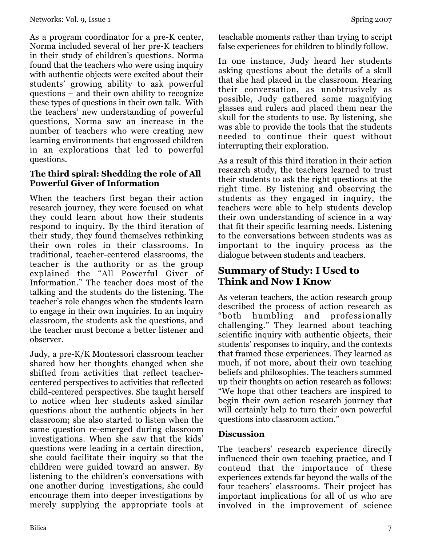As a program coordinator for a pre-K center, Norma included several of her pre-K teachers in their study of children's questions. Norma found that the teachers who were using inquiry with authentic objects were excited about their students' growing ability to ask powerful questions – and their own ability to recognize these types of questions in their own talk. With the teachers' new understanding of powerful questions, Norma saw an increase in the number of teachers who were creating new learning environments that engrossed children in an explorations that led to powerful questions.

### **The third spiral: Shedding the role of All Powerful Giver of Information**

When the teachers first began their action research journey, they were focused on what they could learn about how their students respond to inquiry. By the third iteration of their study, they found themselves rethinking their own roles in their classrooms. In traditional, teacher-centered classrooms, the teacher is the authority or as the group explained the "All Powerful Giver of Information." The teacher does most of the talking and the students do the listening. The teacher's role changes when the students learn to engage in their own inquiries. In an inquiry classroom, the students ask the questions, and the teacher must become a better listener and observer.

Judy, a pre-K/K Montessori classroom teacher shared how her thoughts changed when she shifted from activities that reflect teachercentered perspectives to activities that reflected child-centered perspectives. She taught herself to notice when her students asked similar questions about the authentic objects in her classroom; she also started to listen when the same question re-emerged during classroom investigations. When she saw that the kids' questions were leading in a certain direction, she could facilitate their inquiry so that the children were guided toward an answer. By listening to the children's conversations with one another during investigations, she could encourage them into deeper investigations by merely supplying the appropriate tools at teachable moments rather than trying to script false experiences for children to blindly follow.

In one instance, Judy heard her students asking questions about the details of a skull that she had placed in the classroom. Hearing their conversation, as unobtrusively as possible, Judy gathered some magnifying glasses and rulers and placed them near the skull for the students to use. By listening, she was able to provide the tools that the students needed to continue their quest without interrupting their exploration.

As a result of this third iteration in their action research study, the teachers learned to trust their students to ask the right questions at the right time. By listening and observing the students as they engaged in inquiry, the teachers were able to help students develop their own understanding of science in a way that fit their specific learning needs. Listening to the conversations between students was as important to the inquiry process as the dialogue between students and teachers.

# **Summary of Study: I Used to Think and Now I Know**

As veteran teachers, the action research group described the process of action research as "both humbling and professionally challenging." They learned about teaching scientific inquiry with authentic objects, their students' responses to inquiry, and the contexts that framed these experiences. They learned as much, if not more, about their own teaching beliefs and philosophies. The teachers summed up their thoughts on action research as follows: "We hope that other teachers are inspired to begin their own action research journey that will certainly help to turn their own powerful questions into classroom action."

### **Discussion**

The teachers' research experience directly influenced their own teaching practice, and I contend that the importance of these experiences extends far beyond the walls of the four teachers' classrooms. Their project has important implications for all of us who are involved in the improvement of science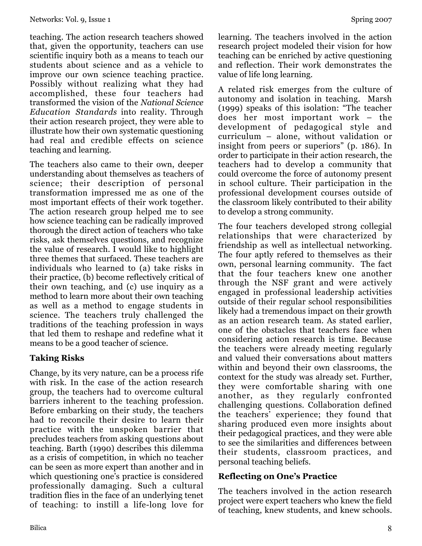teaching. The action research teachers showed that, given the opportunity, teachers can use scientific inquiry both as a means to teach our students about science and as a vehicle to improve our own science teaching practice. Possibly without realizing what they had accomplished, these four teachers had transformed the vision of the *National Science Education Standards* into reality. Through their action research project, they were able to illustrate how their own systematic questioning had real and credible effects on science teaching and learning.

The teachers also came to their own, deeper understanding about themselves as teachers of science; their description of personal transformation impressed me as one of the most important effects of their work together. The action research group helped me to see how science teaching can be radically improved thorough the direct action of teachers who take risks, ask themselves questions, and recognize the value of research. I would like to highlight three themes that surfaced. These teachers are individuals who learned to (a) take risks in their practice, (b) become reflectively critical of their own teaching, and (c) use inquiry as a method to learn more about their own teaching as well as a method to engage students in science. The teachers truly challenged the traditions of the teaching profession in ways that led them to reshape and redefine what it means to be a good teacher of science.

# **Taking Risks**

Change, by its very nature, can be a process rife with risk. In the case of the action research group, the teachers had to overcome cultural barriers inherent to the teaching profession. Before embarking on their study, the teachers had to reconcile their desire to learn their practice with the unspoken barrier that precludes teachers from asking questions about teaching. Barth (1990) describes this dilemma as a crisis of competition, in which no teacher can be seen as more expert than another and in which questioning one's practice is considered professionally damaging. Such a cultural tradition flies in the face of an underlying tenet of teaching: to instill a life-long love for

learning. The teachers involved in the action research project modeled their vision for how teaching can be enriched by active questioning and reflection. Their work demonstrates the value of life long learning.

A related risk emerges from the culture of autonomy and isolation in teaching. Marsh (1999) speaks of this isolation: "The teacher does her most important work – the development of pedagogical style and curriculum – alone, without validation or insight from peers or superiors" (p. 186). In order to participate in their action research, the teachers had to develop a community that could overcome the force of autonomy present in school culture. Their participation in the professional development courses outside of the classroom likely contributed to their ability to develop a strong community.

The four teachers developed strong collegial relationships that were characterized by friendship as well as intellectual networking. The four aptly refered to themselves as their own, personal learning community. The fact that the four teachers knew one another through the NSF grant and were actively engaged in professional leadership activities outside of their regular school responsibilities likely had a tremendous impact on their growth as an action research team. As stated earlier, one of the obstacles that teachers face when considering action research is time. Because the teachers were already meeting regularly and valued their conversations about matters within and beyond their own classrooms, the context for the study was already set. Further, they were comfortable sharing with one another, as they regularly confronted challenging questions. Collaboration defined the teachers' experience; they found that sharing produced even more insights about their pedagogical practices, and they were able to see the similarities and differences between their students, classroom practices, and personal teaching beliefs.

# **Reflecting on One's Practice**

The teachers involved in the action research project were expert teachers who knew the field of teaching, knew students, and knew schools.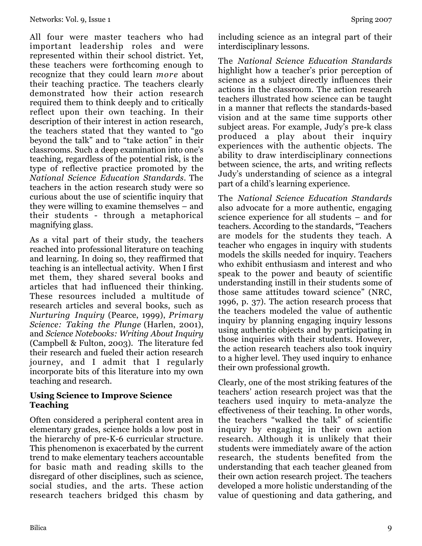All four were master teachers who had important leadership roles and were represented within their school district. Yet, these teachers were forthcoming enough to recognize that they could learn *more* about their teaching practice. The teachers clearly demonstrated how their action research required them to think deeply and to critically reflect upon their own teaching. In their description of their interest in action research, the teachers stated that they wanted to "go beyond the talk" and to "take action" in their classrooms. Such a deep examination into one's teaching, regardless of the potential risk, is the type of reflective practice promoted by the *National Science Education Standards*. The teachers in the action research study were so curious about the use of scientific inquiry that they were willing to examine themselves – and their students - through a metaphorical magnifying glass.

As a vital part of their study, the teachers reached into professional literature on teaching and learning. In doing so, they reaffirmed that teaching is an intellectual activity. When I first met them, they shared several books and articles that had influenced their thinking. These resources included a multitude of research articles and several books, such as *Nurturing Inquiry* (Pearce, 1999), *Primary Science: Taking the Plunge* (Harlen, 2001), and *Science Notebooks: Writing About Inquiry* (Campbell & Fulton, 2003). The literature fed their research and fueled their action research journey, and I admit that I regularly incorporate bits of this literature into my own teaching and research.

### **Using Science to Improve Science Teaching**

Often considered a peripheral content area in elementary grades, science holds a low post in the hierarchy of pre-K-6 curricular structure. This phenomenon is exacerbated by the current trend to make elementary teachers accountable for basic math and reading skills to the disregard of other disciplines, such as science, social studies, and the arts. These action research teachers bridged this chasm by including science as an integral part of their interdisciplinary lessons.

The *National Science Education Standards* highlight how a teacher's prior perception of science as a subject directly influences their actions in the classroom. The action research teachers illustrated how science can be taught in a manner that reflects the standards-based vision and at the same time supports other subject areas. For example, Judy's pre-k class produced a play about their inquiry experiences with the authentic objects. The ability to draw interdisciplinary connections between science, the arts, and writing reflects Judy's understanding of science as a integral part of a child's learning experience.

The *National Science Education Standards* also advocate for a more authentic, engaging science experience for all students – and for teachers. According to the standards, "Teachers are models for the students they teach. A teacher who engages in inquiry with students models the skills needed for inquiry. Teachers who exhibit enthusiasm and interest and who speak to the power and beauty of scientific understanding instill in their students some of those same attitudes toward science" (NRC, 1996, p. 37). The action research process that the teachers modeled the value of authentic inquiry by planning engaging inquiry lessons using authentic objects and by participating in those inquiries with their students. However, the action research teachers also took inquiry to a higher level. They used inquiry to enhance their own professional growth.

Clearly, one of the most striking features of the teachers' action research project was that the teachers used inquiry to meta-analyze the effectiveness of their teaching. In other words, the teachers "walked the talk" of scientific inquiry by engaging in their own action research. Although it is unlikely that their students were immediately aware of the action research, the students benefited from the understanding that each teacher gleaned from their own action research project. The teachers developed a more holistic understanding of the value of questioning and data gathering, and